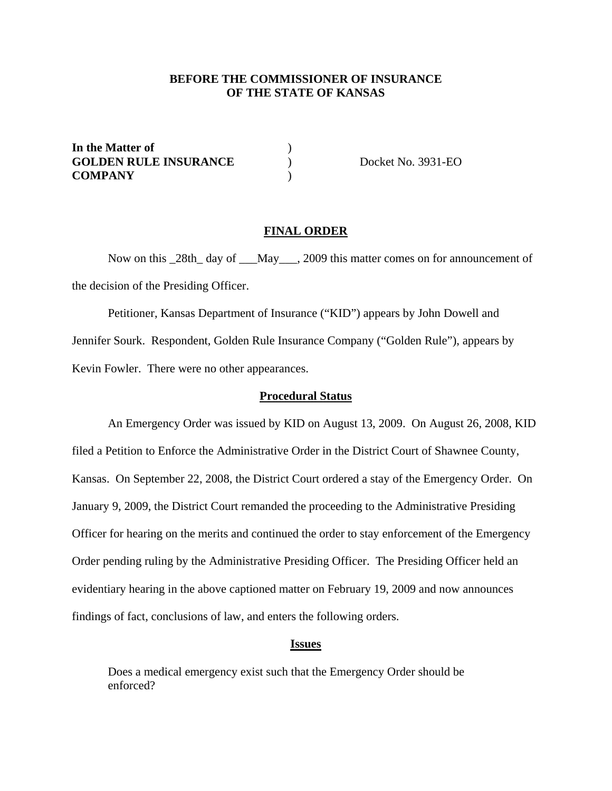# **BEFORE THE COMMISSIONER OF INSURANCE OF THE STATE OF KANSAS**

**In the Matter of** ) **GOLDEN RULE INSURANCE** ) Docket No. 3931-EO **COMPANY** )

## **FINAL ORDER**

Now on this \_28th\_ day of \_\_\_May\_\_\_, 2009 this matter comes on for announcement of the decision of the Presiding Officer.

 Petitioner, Kansas Department of Insurance ("KID") appears by John Dowell and Jennifer Sourk. Respondent, Golden Rule Insurance Company ("Golden Rule"), appears by Kevin Fowler. There were no other appearances.

## **Procedural Status**

 An Emergency Order was issued by KID on August 13, 2009. On August 26, 2008, KID filed a Petition to Enforce the Administrative Order in the District Court of Shawnee County, Kansas. On September 22, 2008, the District Court ordered a stay of the Emergency Order. On January 9, 2009, the District Court remanded the proceeding to the Administrative Presiding Officer for hearing on the merits and continued the order to stay enforcement of the Emergency Order pending ruling by the Administrative Presiding Officer. The Presiding Officer held an evidentiary hearing in the above captioned matter on February 19, 2009 and now announces findings of fact, conclusions of law, and enters the following orders.

## **Issues**

Does a medical emergency exist such that the Emergency Order should be enforced?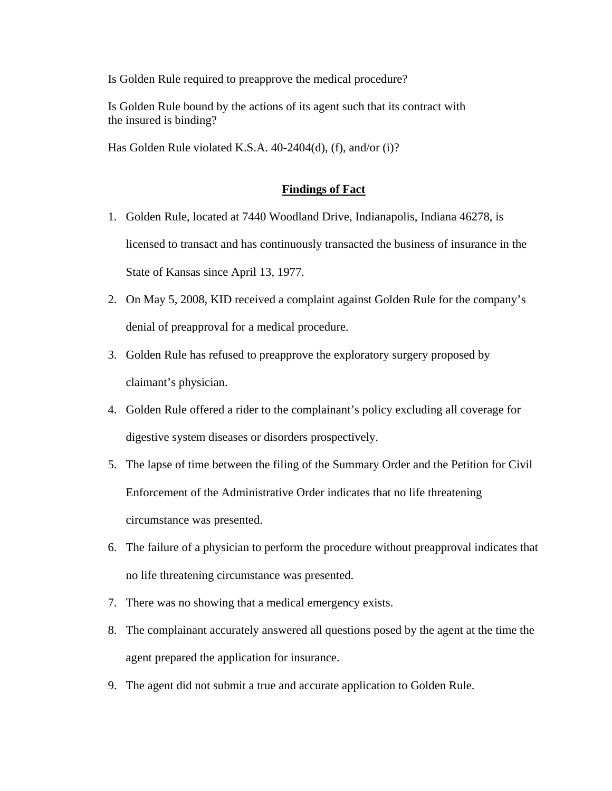Is Golden Rule required to preapprove the medical procedure?

Is Golden Rule bound by the actions of its agent such that its contract with the insured is binding?

Has Golden Rule violated K.S.A. 40-2404(d), (f), and/or (i)?

# **Findings of Fact**

- 1. Golden Rule, located at 7440 Woodland Drive, Indianapolis, Indiana 46278, is licensed to transact and has continuously transacted the business of insurance in the State of Kansas since April 13, 1977.
- 2. On May 5, 2008, KID received a complaint against Golden Rule for the company's denial of preapproval for a medical procedure.
- 3. Golden Rule has refused to preapprove the exploratory surgery proposed by claimant's physician.
- 4. Golden Rule offered a rider to the complainant's policy excluding all coverage for digestive system diseases or disorders prospectively.
- 5. The lapse of time between the filing of the Summary Order and the Petition for Civil Enforcement of the Administrative Order indicates that no life threatening circumstance was presented.
- 6. The failure of a physician to perform the procedure without preapproval indicates that no life threatening circumstance was presented.
- 7. There was no showing that a medical emergency exists.
- 8. The complainant accurately answered all questions posed by the agent at the time the agent prepared the application for insurance.
- 9. The agent did not submit a true and accurate application to Golden Rule.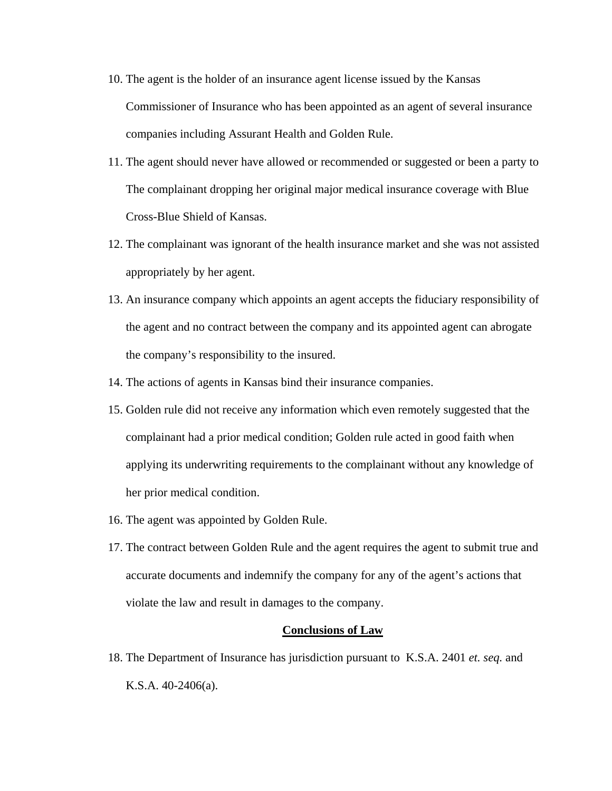- 10. The agent is the holder of an insurance agent license issued by the Kansas Commissioner of Insurance who has been appointed as an agent of several insurance companies including Assurant Health and Golden Rule.
- 11. The agent should never have allowed or recommended or suggested or been a party to The complainant dropping her original major medical insurance coverage with Blue Cross-Blue Shield of Kansas.
- 12. The complainant was ignorant of the health insurance market and she was not assisted appropriately by her agent.
- 13. An insurance company which appoints an agent accepts the fiduciary responsibility of the agent and no contract between the company and its appointed agent can abrogate the company's responsibility to the insured.
- 14. The actions of agents in Kansas bind their insurance companies.
- 15. Golden rule did not receive any information which even remotely suggested that the complainant had a prior medical condition; Golden rule acted in good faith when applying its underwriting requirements to the complainant without any knowledge of her prior medical condition.
- 16. The agent was appointed by Golden Rule.
- 17. The contract between Golden Rule and the agent requires the agent to submit true and accurate documents and indemnify the company for any of the agent's actions that violate the law and result in damages to the company.

#### **Conclusions of Law**

18. The Department of Insurance has jurisdiction pursuant to K.S.A. 2401 *et. seq.* and K.S.A. 40-2406(a).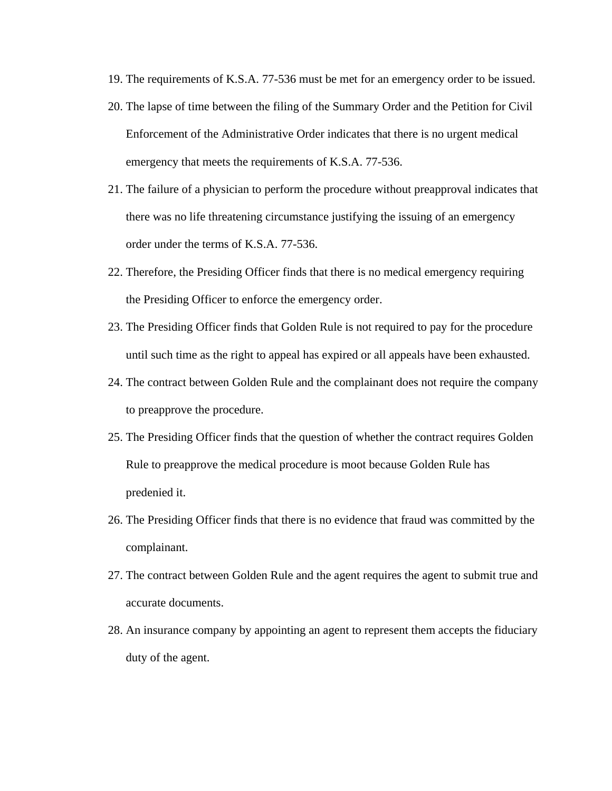- 19. The requirements of K.S.A. 77-536 must be met for an emergency order to be issued.
- 20. The lapse of time between the filing of the Summary Order and the Petition for Civil Enforcement of the Administrative Order indicates that there is no urgent medical emergency that meets the requirements of K.S.A. 77-536.
- 21. The failure of a physician to perform the procedure without preapproval indicates that there was no life threatening circumstance justifying the issuing of an emergency order under the terms of K.S.A. 77-536.
- 22. Therefore, the Presiding Officer finds that there is no medical emergency requiring the Presiding Officer to enforce the emergency order.
- 23. The Presiding Officer finds that Golden Rule is not required to pay for the procedure until such time as the right to appeal has expired or all appeals have been exhausted.
- 24. The contract between Golden Rule and the complainant does not require the company to preapprove the procedure.
- 25. The Presiding Officer finds that the question of whether the contract requires Golden Rule to preapprove the medical procedure is moot because Golden Rule has predenied it.
- 26. The Presiding Officer finds that there is no evidence that fraud was committed by the complainant.
- 27. The contract between Golden Rule and the agent requires the agent to submit true and accurate documents.
- 28. An insurance company by appointing an agent to represent them accepts the fiduciary duty of the agent.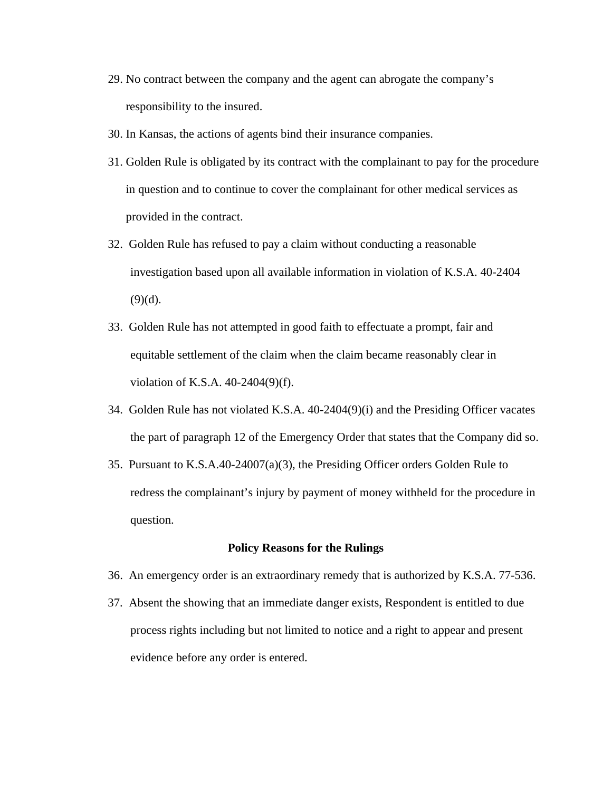- 29. No contract between the company and the agent can abrogate the company's responsibility to the insured.
- 30. In Kansas, the actions of agents bind their insurance companies.
- 31. Golden Rule is obligated by its contract with the complainant to pay for the procedure in question and to continue to cover the complainant for other medical services as provided in the contract.
- 32. Golden Rule has refused to pay a claim without conducting a reasonable investigation based upon all available information in violation of K.S.A. 40-2404  $(9)(d)$ .
- 33. Golden Rule has not attempted in good faith to effectuate a prompt, fair and equitable settlement of the claim when the claim became reasonably clear in violation of K.S.A. 40-2404(9)(f).
- 34. Golden Rule has not violated K.S.A. 40-2404(9)(i) and the Presiding Officer vacates the part of paragraph 12 of the Emergency Order that states that the Company did so.
- 35. Pursuant to K.S.A.40-24007(a)(3), the Presiding Officer orders Golden Rule to redress the complainant's injury by payment of money withheld for the procedure in question.

#### **Policy Reasons for the Rulings**

- 36. An emergency order is an extraordinary remedy that is authorized by K.S.A. 77-536.
- 37. Absent the showing that an immediate danger exists, Respondent is entitled to due process rights including but not limited to notice and a right to appear and present evidence before any order is entered.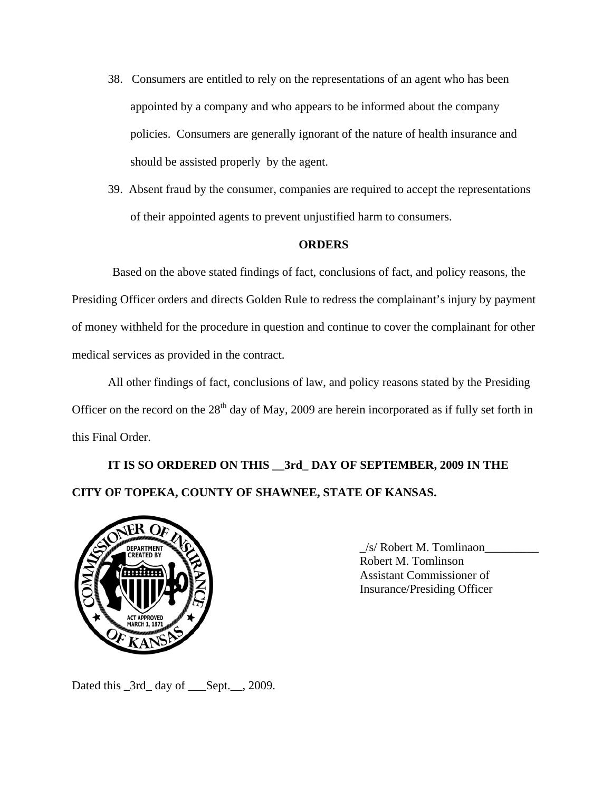- 38. Consumers are entitled to rely on the representations of an agent who has been appointed by a company and who appears to be informed about the company policies. Consumers are generally ignorant of the nature of health insurance and should be assisted properly by the agent.
- 39. Absent fraud by the consumer, companies are required to accept the representations of their appointed agents to prevent unjustified harm to consumers.

# **ORDERS**

Based on the above stated findings of fact, conclusions of fact, and policy reasons, the Presiding Officer orders and directs Golden Rule to redress the complainant's injury by payment of money withheld for the procedure in question and continue to cover the complainant for other medical services as provided in the contract.

 All other findings of fact, conclusions of law, and policy reasons stated by the Presiding Officer on the record on the  $28<sup>th</sup>$  day of May, 2009 are herein incorporated as if fully set forth in this Final Order.

# **IT IS SO ORDERED ON THIS \_\_3rd\_ DAY OF SEPTEMBER, 2009 IN THE CITY OF TOPEKA, COUNTY OF SHAWNEE, STATE OF KANSAS.**



 \_/s/ Robert M. Tomlinaon\_\_\_\_\_\_\_\_\_ Robert M. Tomlinson Assistant Commissioner of Insurance/Presiding Officer

Dated this \_3rd\_ day of \_\_\_Sept.\_\_, 2009.